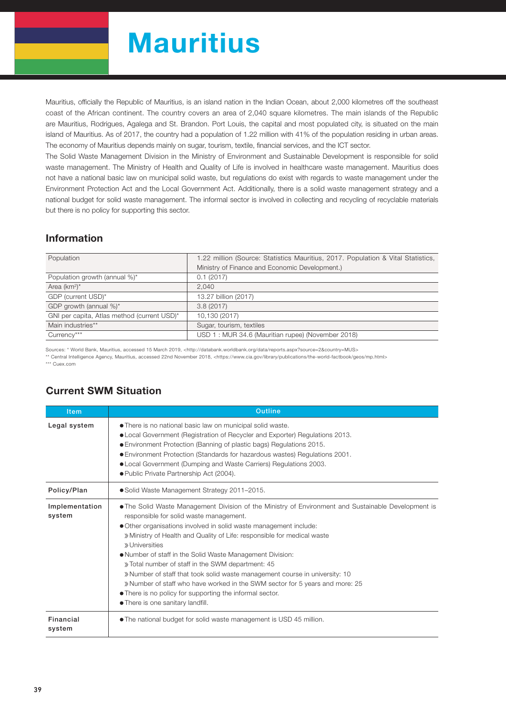# **Mauritius**

Mauritius, officially the Republic of Mauritius, is an island nation in the Indian Ocean, about 2,000 kilometres off the southeast coast of the African continent. The country covers an area of 2,040 square kilometres. The main islands of the Republic are Mauritius, Rodrigues, Agalega and St. Brandon. Port Louis, the capital and most populated city, is situated on the main island of Mauritius. As of 2017, the country had a population of 1.22 million with 41% of the population residing in urban areas. The economy of Mauritius depends mainly on sugar, tourism, textile, financial services, and the ICT sector.

The Solid Waste Management Division in the Ministry of Environment and Sustainable Development is responsible for solid waste management. The Ministry of Health and Quality of Life is involved in healthcare waste management. Mauritius does not have a national basic law on municipal solid waste, but regulations do exist with regards to waste management under the Environment Protection Act and the Local Government Act. Additionally, there is a solid waste management strategy and a national budget for solid waste management. The informal sector is involved in collecting and recycling of recyclable materials but there is no policy for supporting this sector.

#### Information

| Population                                  | 1.22 million (Source: Statistics Mauritius, 2017. Population & Vital Statistics, |  |  |  |
|---------------------------------------------|----------------------------------------------------------------------------------|--|--|--|
|                                             | Ministry of Finance and Economic Development.)                                   |  |  |  |
| Population growth (annual %)*               | 0.1(2017)                                                                        |  |  |  |
| Area $(km^2)^*$                             | 2.040                                                                            |  |  |  |
| GDP (current USD)*                          | 13.27 billion (2017)                                                             |  |  |  |
| GDP growth (annual %)*                      | 3.8(2017)                                                                        |  |  |  |
| GNI per capita, Atlas method (current USD)* | 10,130 (2017)                                                                    |  |  |  |
| Main industries**                           | Sugar, tourism, textiles                                                         |  |  |  |
| Currency***                                 | USD 1: MUR 34.6 (Mauritian rupee) (November 2018)                                |  |  |  |

Sources: \* World Bank, Mauritius, accessed 15 March 2019, <http://databank.worldbank.org/data/reports.aspx?source=2&country=MUS>

\*\* Central Intelligence Agency, Mauritius, accessed 22nd November 2018, <https://www.cia.gov/library/publications/the-world-factbook/geos/mp.html>

\*\*\* Cuex.com

| <b>Item</b>              | <b>Outline</b>                                                                                                                                                                                                                                                                                                                                                                                                                                                                                                                                                                                                                                                                                     |  |  |  |  |  |
|--------------------------|----------------------------------------------------------------------------------------------------------------------------------------------------------------------------------------------------------------------------------------------------------------------------------------------------------------------------------------------------------------------------------------------------------------------------------------------------------------------------------------------------------------------------------------------------------------------------------------------------------------------------------------------------------------------------------------------------|--|--|--|--|--|
| Legal system             | • There is no national basic law on municipal solid waste.<br>• Local Government (Registration of Recycler and Exporter) Regulations 2013.<br>● Environment Protection (Banning of plastic bags) Regulations 2015.<br>● Environment Protection (Standards for hazardous wastes) Regulations 2001.<br>• Local Government (Dumping and Waste Carriers) Regulations 2003.<br>● Public Private Partnership Act (2004).                                                                                                                                                                                                                                                                                 |  |  |  |  |  |
| Policy/Plan              | • Solid Waste Management Strategy 2011-2015.                                                                                                                                                                                                                                                                                                                                                                                                                                                                                                                                                                                                                                                       |  |  |  |  |  |
| Implementation<br>system | • The Solid Waste Management Division of the Ministry of Environment and Sustainable Development is<br>responsible for solid waste management.<br>• Other organisations involved in solid waste management include:<br>» Ministry of Health and Quality of Life: responsible for medical waste<br>» Universities<br>• Number of staff in the Solid Waste Management Division:<br>» Total number of staff in the SWM department: 45<br>» Number of staff that took solid waste management course in university: 10<br>» Number of staff who have worked in the SWM sector for 5 years and more: 25<br>• There is no policy for supporting the informal sector.<br>• There is one sanitary landfill. |  |  |  |  |  |
| Financial<br>system      | • The national budget for solid waste management is USD 45 million.                                                                                                                                                                                                                                                                                                                                                                                                                                                                                                                                                                                                                                |  |  |  |  |  |